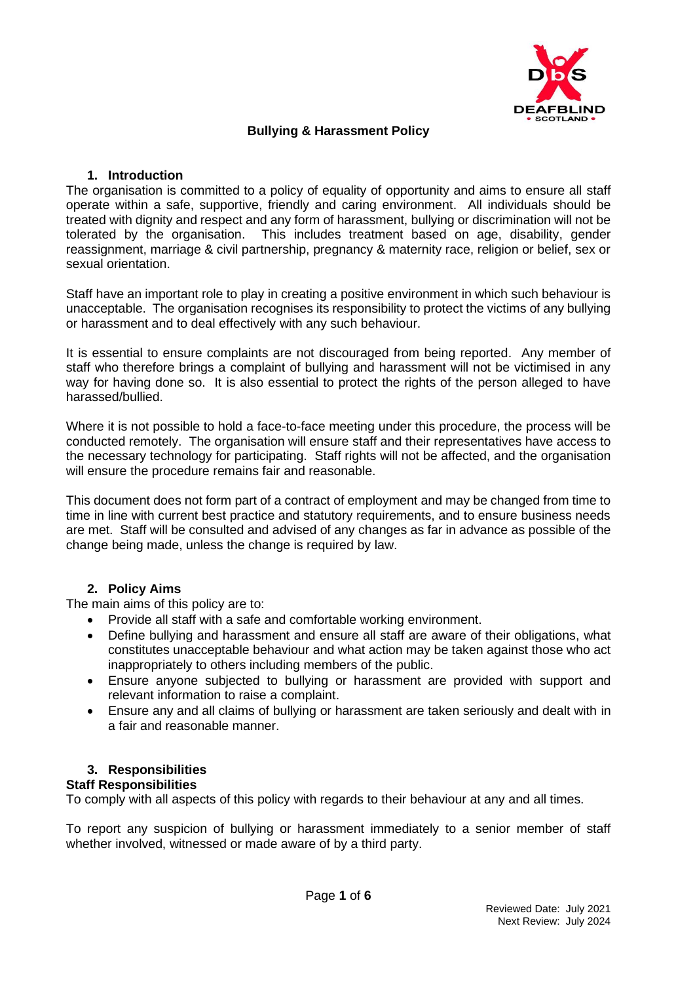

### **Bullying & Harassment Policy**

### **1. Introduction**

The organisation is committed to a policy of equality of opportunity and aims to ensure all staff operate within a safe, supportive, friendly and caring environment. All individuals should be treated with dignity and respect and any form of harassment, bullying or discrimination will not be tolerated by the organisation. This includes treatment based on age, disability, gender reassignment, marriage & civil partnership, pregnancy & maternity race, religion or belief, sex or sexual orientation.

Staff have an important role to play in creating a positive environment in which such behaviour is unacceptable. The organisation recognises its responsibility to protect the victims of any bullying or harassment and to deal effectively with any such behaviour.

It is essential to ensure complaints are not discouraged from being reported. Any member of staff who therefore brings a complaint of bullying and harassment will not be victimised in any way for having done so. It is also essential to protect the rights of the person alleged to have harassed/bullied.

Where it is not possible to hold a face-to-face meeting under this procedure, the process will be conducted remotely. The organisation will ensure staff and their representatives have access to the necessary technology for participating. Staff rights will not be affected, and the organisation will ensure the procedure remains fair and reasonable.

This document does not form part of a contract of employment and may be changed from time to time in line with current best practice and statutory requirements, and to ensure business needs are met. Staff will be consulted and advised of any changes as far in advance as possible of the change being made, unless the change is required by law.

# **2. Policy Aims**

The main aims of this policy are to:

- Provide all staff with a safe and comfortable working environment.
- Define bullying and harassment and ensure all staff are aware of their obligations, what constitutes unacceptable behaviour and what action may be taken against those who act inappropriately to others including members of the public.
- Ensure anyone subjected to bullying or harassment are provided with support and relevant information to raise a complaint.
- Ensure any and all claims of bullying or harassment are taken seriously and dealt with in a fair and reasonable manner.

# **3. Responsibilities**

### **Staff Responsibilities**

To comply with all aspects of this policy with regards to their behaviour at any and all times.

To report any suspicion of bullying or harassment immediately to a senior member of staff whether involved, witnessed or made aware of by a third party.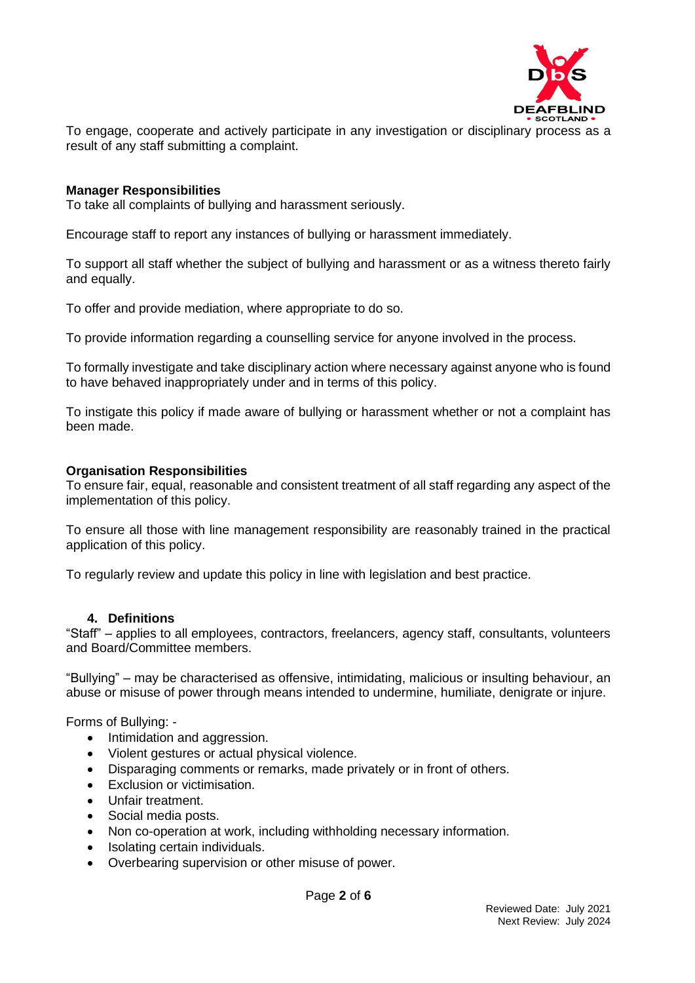

To engage, cooperate and actively participate in any investigation or disciplinary process as a result of any staff submitting a complaint.

#### **Manager Responsibilities**

To take all complaints of bullying and harassment seriously.

Encourage staff to report any instances of bullying or harassment immediately.

To support all staff whether the subject of bullying and harassment or as a witness thereto fairly and equally.

To offer and provide mediation, where appropriate to do so.

To provide information regarding a counselling service for anyone involved in the process.

To formally investigate and take disciplinary action where necessary against anyone who is found to have behaved inappropriately under and in terms of this policy.

To instigate this policy if made aware of bullying or harassment whether or not a complaint has been made.

#### **Organisation Responsibilities**

To ensure fair, equal, reasonable and consistent treatment of all staff regarding any aspect of the implementation of this policy.

To ensure all those with line management responsibility are reasonably trained in the practical application of this policy.

To regularly review and update this policy in line with legislation and best practice.

### **4. Definitions**

"Staff" – applies to all employees, contractors, freelancers, agency staff, consultants, volunteers and Board/Committee members.

"Bullying" – may be characterised as offensive, intimidating, malicious or insulting behaviour, an abuse or misuse of power through means intended to undermine, humiliate, denigrate or injure.

Forms of Bullying: -

- Intimidation and aggression.
- Violent gestures or actual physical violence.
- Disparaging comments or remarks, made privately or in front of others.
- Exclusion or victimisation.
- Unfair treatment.
- Social media posts.
- Non co-operation at work, including withholding necessary information.
- Isolating certain individuals.
- Overbearing supervision or other misuse of power.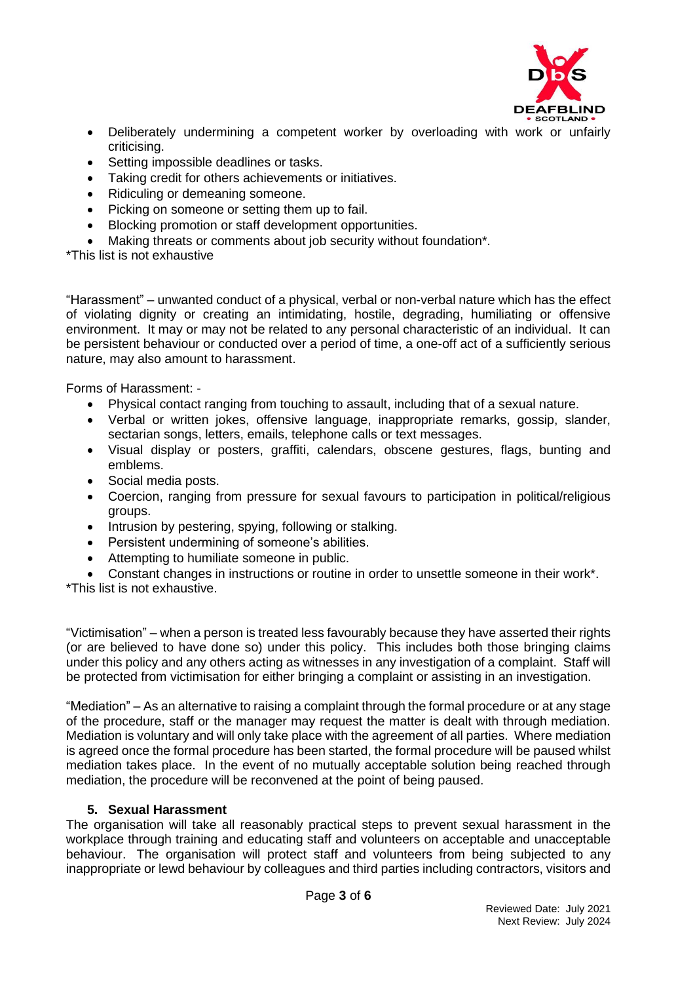

- Deliberately undermining a competent worker by overloading with work or unfairly criticising.
- Setting impossible deadlines or tasks.
- Taking credit for others achievements or initiatives.
- Ridiculing or demeaning someone.
- Picking on someone or setting them up to fail.
- Blocking promotion or staff development opportunities.
- Making threats or comments about job security without foundation\*.

\*This list is not exhaustive

"Harassment" – unwanted conduct of a physical, verbal or non-verbal nature which has the effect of violating dignity or creating an intimidating, hostile, degrading, humiliating or offensive environment. It may or may not be related to any personal characteristic of an individual. It can be persistent behaviour or conducted over a period of time, a one-off act of a sufficiently serious nature, may also amount to harassment.

Forms of Harassment: -

- Physical contact ranging from touching to assault, including that of a sexual nature.
- Verbal or written jokes, offensive language, inappropriate remarks, gossip, slander, sectarian songs, letters, emails, telephone calls or text messages.
- Visual display or posters, graffiti, calendars, obscene gestures, flags, bunting and emblems.
- Social media posts.
- Coercion, ranging from pressure for sexual favours to participation in political/religious groups.
- Intrusion by pestering, spying, following or stalking.
- Persistent undermining of someone's abilities.
- Attempting to humiliate someone in public.
- Constant changes in instructions or routine in order to unsettle someone in their work\*.

\*This list is not exhaustive.

"Victimisation" – when a person is treated less favourably because they have asserted their rights (or are believed to have done so) under this policy. This includes both those bringing claims under this policy and any others acting as witnesses in any investigation of a complaint. Staff will be protected from victimisation for either bringing a complaint or assisting in an investigation.

"Mediation" – As an alternative to raising a complaint through the formal procedure or at any stage of the procedure, staff or the manager may request the matter is dealt with through mediation. Mediation is voluntary and will only take place with the agreement of all parties. Where mediation is agreed once the formal procedure has been started, the formal procedure will be paused whilst mediation takes place. In the event of no mutually acceptable solution being reached through mediation, the procedure will be reconvened at the point of being paused.

# **5. Sexual Harassment**

The organisation will take all reasonably practical steps to prevent sexual harassment in the workplace through training and educating staff and volunteers on acceptable and unacceptable behaviour. The organisation will protect staff and volunteers from being subjected to any inappropriate or lewd behaviour by colleagues and third parties including contractors, visitors and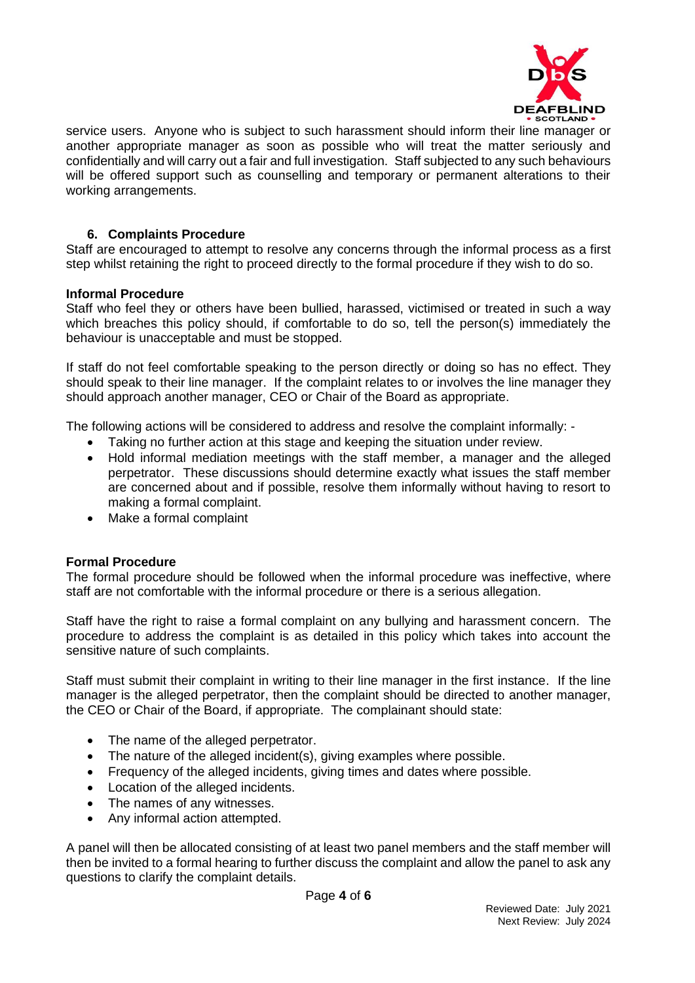

service users. Anyone who is subject to such harassment should inform their line manager or another appropriate manager as soon as possible who will treat the matter seriously and confidentially and will carry out a fair and full investigation. Staff subjected to any such behaviours will be offered support such as counselling and temporary or permanent alterations to their working arrangements.

### **6. Complaints Procedure**

Staff are encouraged to attempt to resolve any concerns through the informal process as a first step whilst retaining the right to proceed directly to the formal procedure if they wish to do so.

#### **Informal Procedure**

Staff who feel they or others have been bullied, harassed, victimised or treated in such a way which breaches this policy should, if comfortable to do so, tell the person(s) immediately the behaviour is unacceptable and must be stopped.

If staff do not feel comfortable speaking to the person directly or doing so has no effect. They should speak to their line manager. If the complaint relates to or involves the line manager they should approach another manager, CEO or Chair of the Board as appropriate.

The following actions will be considered to address and resolve the complaint informally: -

- Taking no further action at this stage and keeping the situation under review.
- Hold informal mediation meetings with the staff member, a manager and the alleged perpetrator. These discussions should determine exactly what issues the staff member are concerned about and if possible, resolve them informally without having to resort to making a formal complaint.
- Make a formal complaint

### **Formal Procedure**

The formal procedure should be followed when the informal procedure was ineffective, where staff are not comfortable with the informal procedure or there is a serious allegation.

Staff have the right to raise a formal complaint on any bullying and harassment concern. The procedure to address the complaint is as detailed in this policy which takes into account the sensitive nature of such complaints.

Staff must submit their complaint in writing to their line manager in the first instance. If the line manager is the alleged perpetrator, then the complaint should be directed to another manager, the CEO or Chair of the Board, if appropriate. The complainant should state:

- The name of the alleged perpetrator.
- The nature of the alleged incident(s), giving examples where possible.
- Frequency of the alleged incidents, giving times and dates where possible.
- Location of the alleged incidents.
- The names of any witnesses.
- Any informal action attempted.

A panel will then be allocated consisting of at least two panel members and the staff member will then be invited to a formal hearing to further discuss the complaint and allow the panel to ask any questions to clarify the complaint details.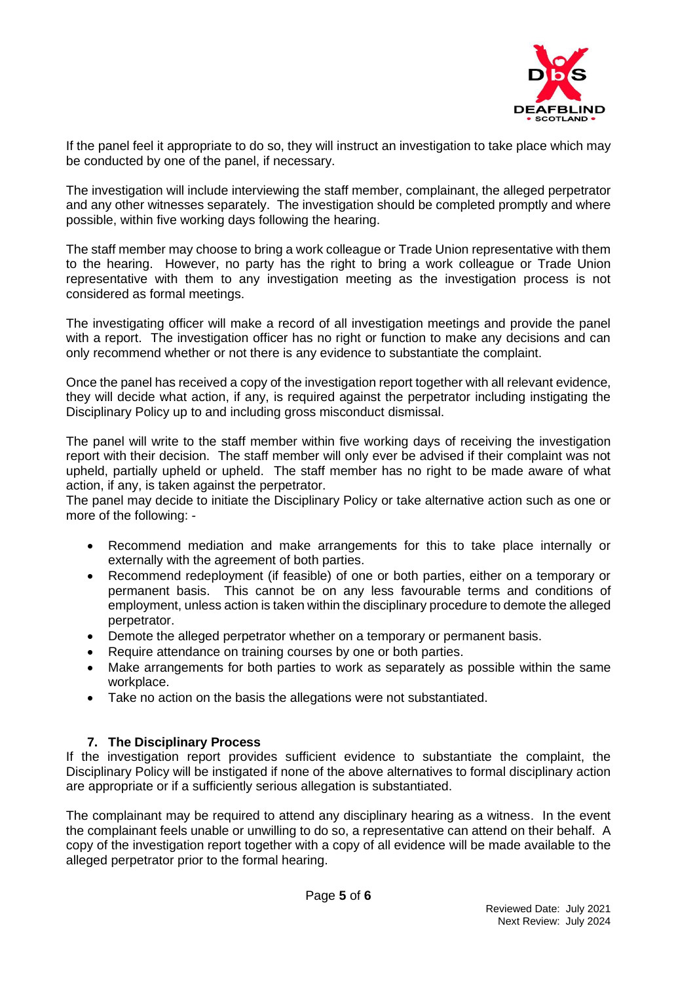

If the panel feel it appropriate to do so, they will instruct an investigation to take place which may be conducted by one of the panel, if necessary.

The investigation will include interviewing the staff member, complainant, the alleged perpetrator and any other witnesses separately. The investigation should be completed promptly and where possible, within five working days following the hearing.

The staff member may choose to bring a work colleague or Trade Union representative with them to the hearing. However, no party has the right to bring a work colleague or Trade Union representative with them to any investigation meeting as the investigation process is not considered as formal meetings.

The investigating officer will make a record of all investigation meetings and provide the panel with a report. The investigation officer has no right or function to make any decisions and can only recommend whether or not there is any evidence to substantiate the complaint.

Once the panel has received a copy of the investigation report together with all relevant evidence, they will decide what action, if any, is required against the perpetrator including instigating the Disciplinary Policy up to and including gross misconduct dismissal.

The panel will write to the staff member within five working days of receiving the investigation report with their decision. The staff member will only ever be advised if their complaint was not upheld, partially upheld or upheld. The staff member has no right to be made aware of what action, if any, is taken against the perpetrator.

The panel may decide to initiate the Disciplinary Policy or take alternative action such as one or more of the following: -

- Recommend mediation and make arrangements for this to take place internally or externally with the agreement of both parties.
- Recommend redeployment (if feasible) of one or both parties, either on a temporary or permanent basis. This cannot be on any less favourable terms and conditions of employment, unless action is taken within the disciplinary procedure to demote the alleged perpetrator.
- Demote the alleged perpetrator whether on a temporary or permanent basis.
- Require attendance on training courses by one or both parties.
- Make arrangements for both parties to work as separately as possible within the same workplace.
- Take no action on the basis the allegations were not substantiated.

# **7. The Disciplinary Process**

If the investigation report provides sufficient evidence to substantiate the complaint, the Disciplinary Policy will be instigated if none of the above alternatives to formal disciplinary action are appropriate or if a sufficiently serious allegation is substantiated.

The complainant may be required to attend any disciplinary hearing as a witness. In the event the complainant feels unable or unwilling to do so, a representative can attend on their behalf. A copy of the investigation report together with a copy of all evidence will be made available to the alleged perpetrator prior to the formal hearing.